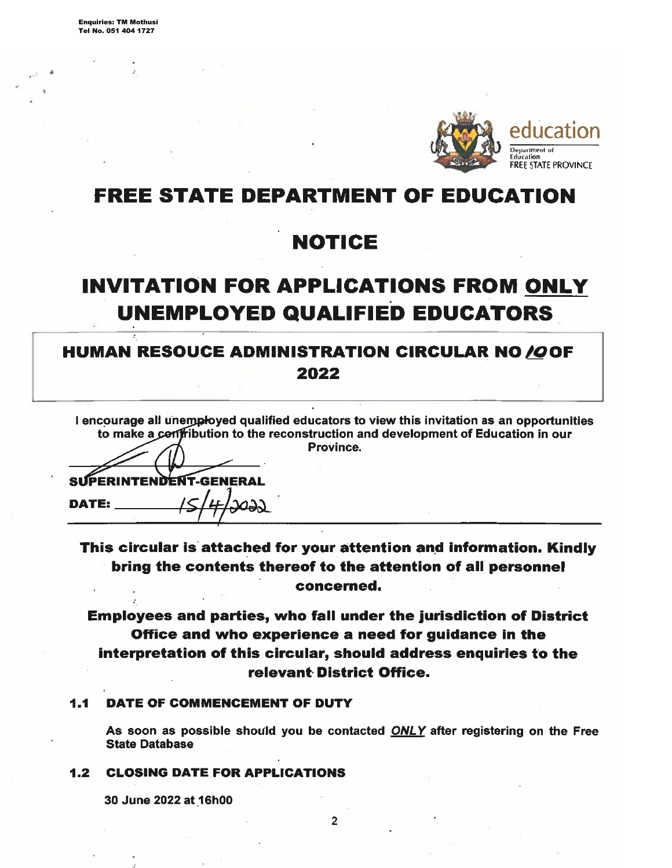

## **FREE STATE DEPARTMENT OF EDUCATION**

## **NOTICE**

# **INVITATION FOR APPLICATIONS FROM ONLY UNEMPLOYED QUALIFIED EDUCATORS**

## **HUMAN RESOUCE ADMINISTRATION CIRCULAR NO/OOF** 2022

I encourage all unemployed qualified educators to view this invitation as an opportunities to make a confribution to the reconstruction and development of Education in our Province.

SUPERINTENDENT-GENERAL **DATE:** حمص

This circular is attached for your attention and information. Kindly bring the contents thereof to the attention of all personnel concerned.

**Employees and parties, who fall under the jurisdiction of District** Office and who experience a need for guidance in the interpretation of this circular, should address enquiries to the relevant District Office.

#### DATE OF COMMENCEMENT OF DUTY  $1.1$

As soon as possible should you be contacted ONLY after registering on the Free **State Database** 

### **1.2 CLOSING DATE FOR APPLICATIONS**

30 June 2022 at 16h00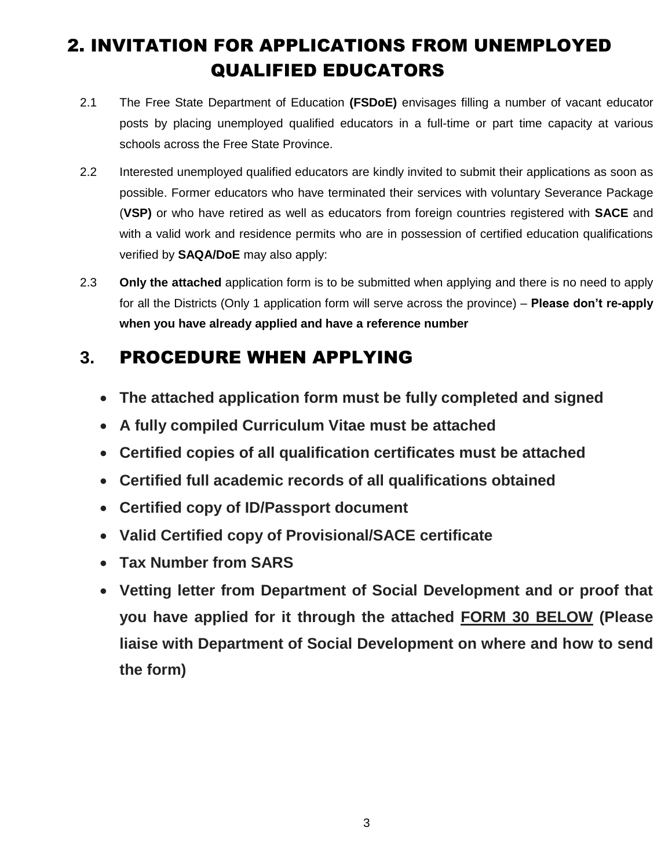## 2. INVITATION FOR APPLICATIONS FROM UNEMPLOYED QUALIFIED EDUCATORS

- 2.1 The Free State Department of Education **(FSDoE)** envisages filling a number of vacant educator posts by placing unemployed qualified educators in a full-time or part time capacity at various schools across the Free State Province.
- 2.2 Interested unemployed qualified educators are kindly invited to submit their applications as soon as possible. Former educators who have terminated their services with voluntary Severance Package (**VSP)** or who have retired as well as educators from foreign countries registered with **SACE** and with a valid work and residence permits who are in possession of certified education qualifications verified by **SAQA/DoE** may also apply:
- 2.3 **Only the attached** application form is to be submitted when applying and there is no need to apply for all the Districts (Only 1 application form will serve across the province) – **Please don't re-apply when you have already applied and have a reference number**

## **3.** PROCEDURE WHEN APPLYING

- **The attached application form must be fully completed and signed**
- **A fully compiled Curriculum Vitae must be attached**
- **Certified copies of all qualification certificates must be attached**
- **Certified full academic records of all qualifications obtained**
- **Certified copy of ID/Passport document**
- **Valid Certified copy of Provisional/SACE certificate**
- **Tax Number from SARS**
- **Vetting letter from Department of Social Development and or proof that you have applied for it through the attached FORM 30 BELOW (Please liaise with Department of Social Development on where and how to send the form)**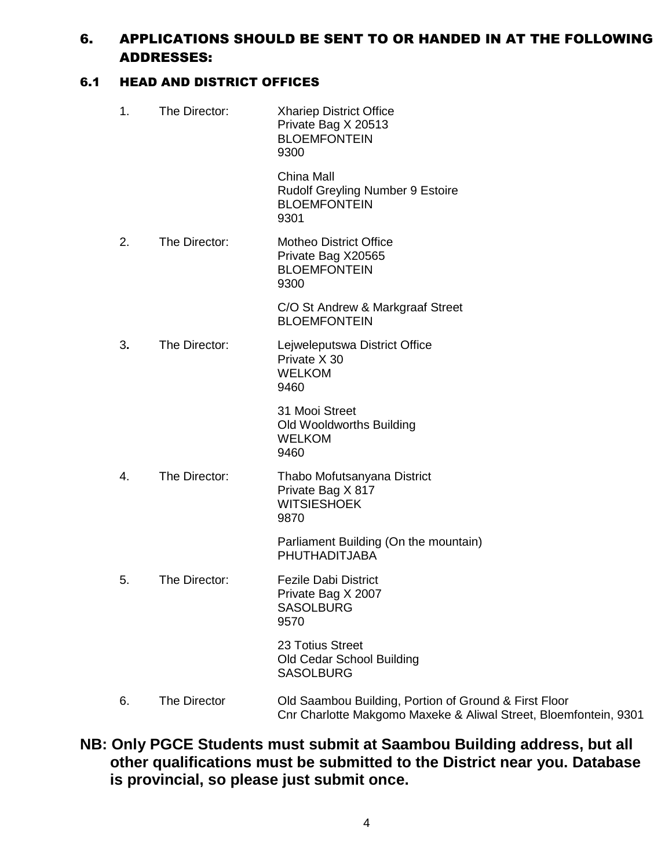## 6. APPLICATIONS SHOULD BE SENT TO OR HANDED IN AT THE FOLLOWING ADDRESSES:

## 6.1 HEAD AND DISTRICT OFFICES

| 1. | The Director: | <b>Xhariep District Office</b><br>Private Bag X 20513<br><b>BLOEMFONTEIN</b><br>9300                                      |
|----|---------------|---------------------------------------------------------------------------------------------------------------------------|
|    |               | China Mall<br>Rudolf Greyling Number 9 Estoire<br><b>BLOEMFONTEIN</b><br>9301                                             |
| 2. | The Director: | <b>Motheo District Office</b><br>Private Bag X20565<br><b>BLOEMFONTEIN</b><br>9300                                        |
|    |               | C/O St Andrew & Markgraaf Street<br><b>BLOEMFONTEIN</b>                                                                   |
| 3. | The Director: | Lejweleputswa District Office<br>Private X 30<br><b>WELKOM</b><br>9460                                                    |
|    |               | 31 Mooi Street<br>Old Wooldworths Building<br><b>WELKOM</b><br>9460                                                       |
| 4. | The Director: | Thabo Mofutsanyana District<br>Private Bag X 817<br><b>WITSIESHOEK</b><br>9870                                            |
|    |               | Parliament Building (On the mountain)<br>PHUTHADITJABA                                                                    |
| 5. | The Director: | <b>Fezile Dabi District</b><br>Private Bag X 2007<br><b>SASOLBURG</b><br>9570                                             |
|    |               | 23 Totius Street<br>Old Cedar School Building<br><b>SASOLBURG</b>                                                         |
| 6. | The Director  | Old Saambou Building, Portion of Ground & First Floor<br>Cnr Charlotte Makgomo Maxeke & Aliwal Street, Bloemfontein, 9301 |

**NB: Only PGCE Students must submit at Saambou Building address, but all other qualifications must be submitted to the District near you. Database is provincial, so please just submit once.**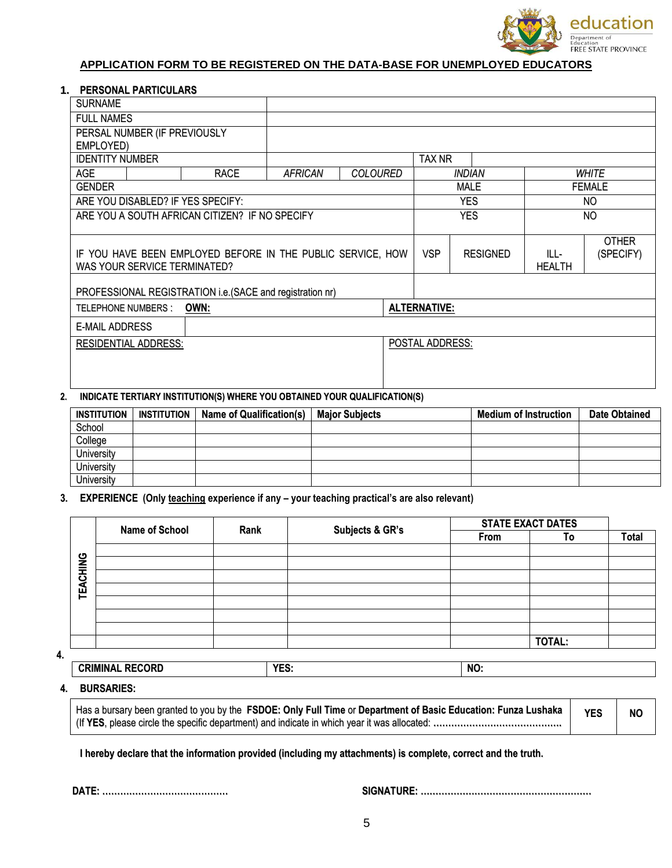

### **APPLICATION FORM TO BE REGISTERED ON THE DATA-BASE FOR UNEMPLOYED EDUCATORS**

### **1. PERSONAL PARTICULARS**

| <b>SURNAME</b>                                              |                              |                                                           |                |                 |                 |                        |             |               |               |  |
|-------------------------------------------------------------|------------------------------|-----------------------------------------------------------|----------------|-----------------|-----------------|------------------------|-------------|---------------|---------------|--|
| <b>FULL NAMES</b>                                           |                              |                                                           |                |                 |                 |                        |             |               |               |  |
|                                                             | PERSAL NUMBER (IF PREVIOUSLY |                                                           |                |                 |                 |                        |             |               |               |  |
| EMPLOYED)                                                   |                              |                                                           |                |                 |                 |                        |             |               |               |  |
| <b>IDENTITY NUMBER</b>                                      |                              |                                                           |                |                 |                 | TAX NR                 |             |               |               |  |
| <b>AGE</b>                                                  |                              | <b>RACE</b>                                               | <b>AFRICAN</b> | <b>COLOURED</b> |                 | <b>INDIAN</b><br>WHITE |             |               |               |  |
| <b>GENDER</b>                                               |                              |                                                           |                |                 |                 |                        | <b>MALE</b> |               | <b>FEMALE</b> |  |
|                                                             |                              | ARE YOU DISABLED? IF YES SPECIFY:                         |                |                 |                 |                        | <b>YES</b>  |               | NO.           |  |
|                                                             |                              | ARE YOU A SOUTH AFRICAN CITIZEN? IF NO SPECIFY            |                |                 |                 | <b>YES</b>             |             | NO.           |               |  |
|                                                             |                              |                                                           |                |                 |                 |                        |             |               |               |  |
|                                                             |                              |                                                           |                |                 |                 |                        |             |               | <b>OTHER</b>  |  |
| IF YOU HAVE BEEN EMPLOYED BEFORE IN THE PUBLIC SERVICE, HOW |                              |                                                           |                | <b>VSP</b>      | <b>RESIGNED</b> | ILL-                   | (SPECIFY)   |               |               |  |
| WAS YOUR SERVICE TERMINATED?                                |                              |                                                           |                |                 |                 |                        |             | <b>HEALTH</b> |               |  |
|                                                             |                              | PROFESSIONAL REGISTRATION i.e. (SACE and registration nr) |                |                 |                 |                        |             |               |               |  |
| OWN:<br><b>TELEPHONE NUMBERS:</b>                           |                              |                                                           |                |                 |                 | <b>ALTERNATIVE:</b>    |             |               |               |  |
| <b>E-MAIL ADDRESS</b>                                       |                              |                                                           |                |                 |                 |                        |             |               |               |  |
| <b>RESIDENTIAL ADDRESS:</b>                                 |                              |                                                           |                |                 |                 | POSTAL ADDRESS:        |             |               |               |  |
|                                                             |                              |                                                           |                |                 |                 |                        |             |               |               |  |
|                                                             |                              |                                                           |                |                 |                 |                        |             |               |               |  |
|                                                             |                              |                                                           |                |                 |                 |                        |             |               |               |  |

## **2. INDICATE TERTIARY INSTITUTION(S) WHERE YOU OBTAINED YOUR QUALIFICATION(S)**

| <b>INSTITUTION</b> | INSTITUTION | <b>Name of Qualification(s)</b> | <b>Major Subjects</b> | <b>Medium of Instruction</b> | <b>Date Obtained</b> |
|--------------------|-------------|---------------------------------|-----------------------|------------------------------|----------------------|
| School             |             |                                 |                       |                              |                      |
| College            |             |                                 |                       |                              |                      |
| <b>University</b>  |             |                                 |                       |                              |                      |
| <b>University</b>  |             |                                 |                       |                              |                      |
| University         |             |                                 |                       |                              |                      |

### **3. EXPERIENCE (Only teaching experience if any – your teaching practical's are also relevant)**

|                 | <b>Name of School</b> | Rank | Subjects & GR's |      | <b>STATE EXACT DATES</b> |              |  |
|-----------------|-----------------------|------|-----------------|------|--------------------------|--------------|--|
|                 |                       |      |                 | From | To                       | <b>Total</b> |  |
|                 |                       |      |                 |      |                          |              |  |
| <b>TEACHING</b> |                       |      |                 |      |                          |              |  |
|                 |                       |      |                 |      |                          |              |  |
|                 |                       |      |                 |      |                          |              |  |
|                 |                       |      |                 |      |                          |              |  |
|                 |                       |      |                 |      |                          |              |  |
|                 |                       |      |                 |      |                          |              |  |
|                 |                       |      |                 |      | TOTAL:                   |              |  |
|                 |                       |      |                 |      |                          |              |  |

**4.**

| <b>CRIMINAL RECORD</b> | <b>VEC</b><br>Lv. | NO. |
|------------------------|-------------------|-----|
|                        |                   |     |

### **4. BURSARIES:**

| Has a bursary been granted to you by the FSDOE: Only Full Time or Department of Basic Education: Funza Lushaka | <b>YES</b> | N0 |
|----------------------------------------------------------------------------------------------------------------|------------|----|
| (If YES, please circle the specific department) and indicate in which year it was allocated:                   |            |    |

**I hereby declare that the information provided (including my attachments) is complete, correct and the truth.**

**DATE: …………………………………… SIGNATURE: …………………………………………………**